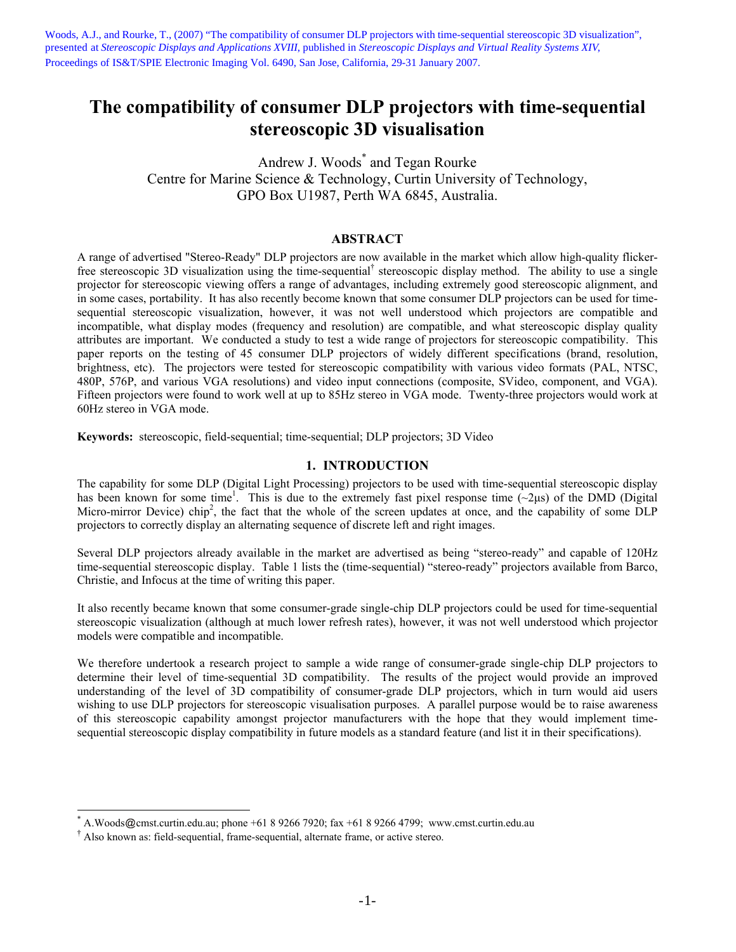Woods, A.J., and Rourke, T., (2007) "The compatibility of consumer DLP projectors with time-sequential stereoscopic 3D visualization", presented at *Stereoscopic Displays and Applications XVIII*, published in *Stereoscopic Displays and Virtual Reality Systems XIV*, Proceedings of IS&T/SPIE Electronic Imaging Vol. 6490, San Jose, California, 29-31 January 2007.

# **The compatibility of consumer DLP projectors with time-sequential stereoscopic 3D visualisation**

Andrew J. Woods\* and Tegan Rourke Centre for Marine Science & Technology, Curtin University of Technology, GPO Box U1987, Perth WA 6845, Australia.

### **ABSTRACT**

A range of advertised "Stereo-Ready" DLP projectors are now available in the market which allow high-quality flickerfree stereoscopic 3D visualization using the time-sequential<sup>†</sup> stereoscopic display method. The ability to use a single projector for stereoscopic viewing offers a range of advantages, including extremely good stereoscopic alignment, and in some cases, portability. It has also recently become known that some consumer DLP projectors can be used for timesequential stereoscopic visualization, however, it was not well understood which projectors are compatible and incompatible, what display modes (frequency and resolution) are compatible, and what stereoscopic display quality attributes are important. We conducted a study to test a wide range of projectors for stereoscopic compatibility. This paper reports on the testing of 45 consumer DLP projectors of widely different specifications (brand, resolution, brightness, etc). The projectors were tested for stereoscopic compatibility with various video formats (PAL, NTSC, 480P, 576P, and various VGA resolutions) and video input connections (composite, SVideo, component, and VGA). Fifteen projectors were found to work well at up to 85Hz stereo in VGA mode. Twenty-three projectors would work at 60Hz stereo in VGA mode.

**Keywords:** stereoscopic, field-sequential; time-sequential; DLP projectors; 3D Video

## **1. INTRODUCTION**

The capability for some DLP (Digital Light Processing) projectors to be used with time-sequential stereoscopic display has been known for some time<sup>1</sup>. This is due to the extremely fast pixel response time  $(\sim 2 \mu s)$  of the DMD (Digital Micro-mirror Device) chip<sup>2</sup>, the fact that the whole of the screen updates at once, and the capability of some DLP projectors to correctly display an alternating sequence of discrete left and right images.

Several DLP projectors already available in the market are advertised as being "stereo-ready" and capable of 120Hz time-sequential stereoscopic display. Table 1 lists the (time-sequential) "stereo-ready" projectors available from Barco, Christie, and Infocus at the time of writing this paper.

It also recently became known that some consumer-grade single-chip DLP projectors could be used for time-sequential stereoscopic visualization (although at much lower refresh rates), however, it was not well understood which projector models were compatible and incompatible.

We therefore undertook a research project to sample a wide range of consumer-grade single-chip DLP projectors to determine their level of time-sequential 3D compatibility. The results of the project would provide an improved understanding of the level of 3D compatibility of consumer-grade DLP projectors, which in turn would aid users wishing to use DLP projectors for stereoscopic visualisation purposes. A parallel purpose would be to raise awareness of this stereoscopic capability amongst projector manufacturers with the hope that they would implement timesequential stereoscopic display compatibility in future models as a standard feature (and list it in their specifications).

 $\overline{a}$ 

<sup>\*</sup> A.Woods@cmst.curtin.edu.au; phone +61 8 9266 7920; fax +61 8 9266 4799; www.cmst.curtin.edu.au

<sup>†</sup> Also known as: field-sequential, frame-sequential, alternate frame, or active stereo.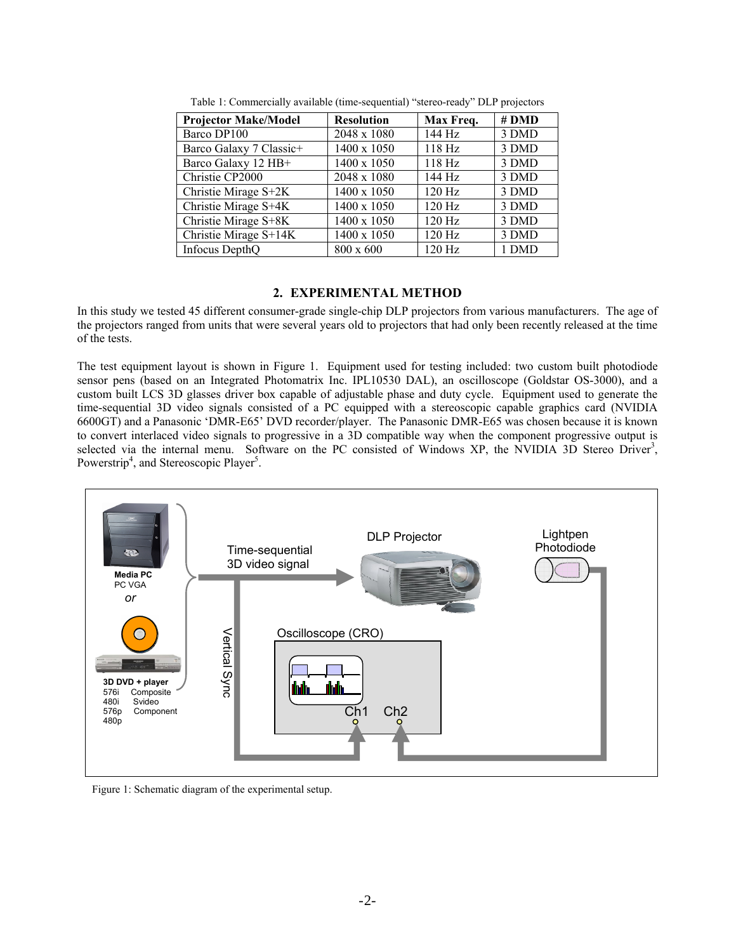| <b>Projector Make/Model</b> | <b>Resolution</b> | Max Freq. | $#$ DMD |
|-----------------------------|-------------------|-----------|---------|
| Barco DP100                 | 2048 x 1080       | 144 Hz    | 3 DMD   |
| Barco Galaxy 7 Classic+     | 1400 x 1050       | 118 Hz    | 3 DMD   |
| Barco Galaxy 12 HB+         | 1400 x 1050       | 118 Hz    | 3 DMD   |
| Christie CP2000             | 2048 x 1080       | 144 Hz    | 3 DMD   |
| Christie Mirage S+2K        | 1400 x 1050       | 120 Hz    | 3 DMD   |
| Christie Mirage S+4K        | 1400 x 1050       | 120 Hz    | 3 DMD   |
| Christie Mirage S+8K        | 1400 x 1050       | 120 Hz    | 3 DMD   |
| Christie Mirage S+14K       | 1400 x 1050       | 120 Hz    | 3 DMD   |
| Infocus DepthQ              | 800 x 600         | $120$ Hz  | 1 DMD   |

Table 1: Commercially available (time-sequential) "stereo-ready" DLP projectors

# **2. EXPERIMENTAL METHOD**

In this study we tested 45 different consumer-grade single-chip DLP projectors from various manufacturers. The age of the projectors ranged from units that were several years old to projectors that had only been recently released at the time of the tests.

The test equipment layout is shown in Figure 1. Equipment used for testing included: two custom built photodiode sensor pens (based on an Integrated Photomatrix Inc. IPL10530 DAL), an oscilloscope (Goldstar OS-3000), and a custom built LCS 3D glasses driver box capable of adjustable phase and duty cycle. Equipment used to generate the time-sequential 3D video signals consisted of a PC equipped with a stereoscopic capable graphics card (NVIDIA 6600GT) and a Panasonic 'DMR-E65' DVD recorder/player. The Panasonic DMR-E65 was chosen because it is known to convert interlaced video signals to progressive in a 3D compatible way when the component progressive output is selected via the internal menu. Software on the PC consisted of Windows XP, the NVIDIA 3D Stereo Driver<sup>3</sup>, Powerstrip<sup>4</sup>, and Stereoscopic Player<sup>5</sup>.



Figure 1: Schematic diagram of the experimental setup.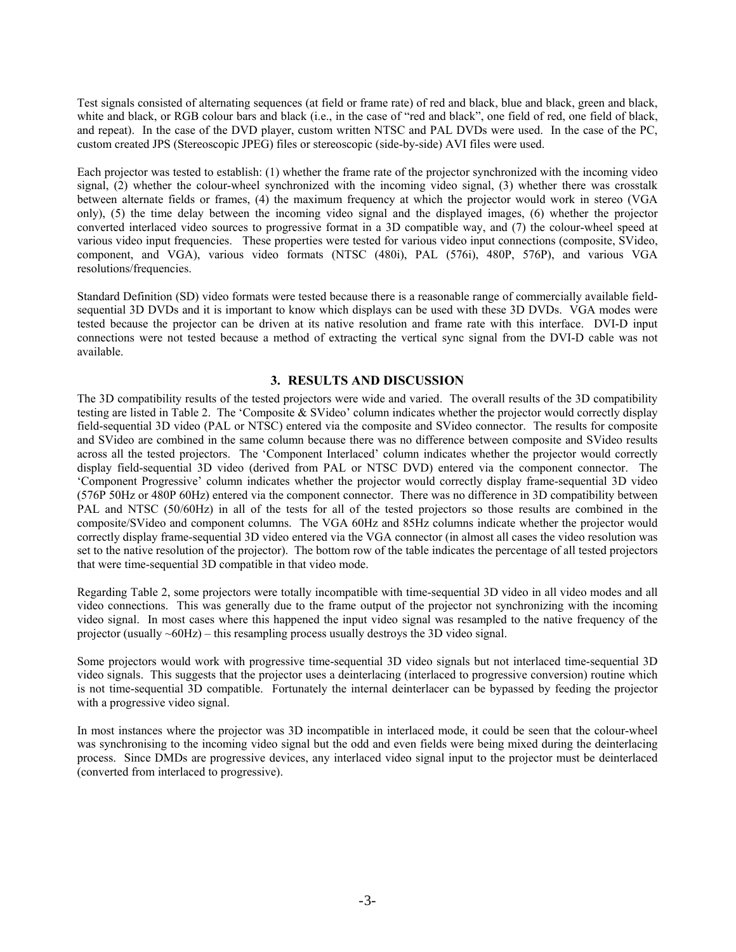Test signals consisted of alternating sequences (at field or frame rate) of red and black, blue and black, green and black, white and black, or RGB colour bars and black (i.e., in the case of "red and black", one field of red, one field of black, and repeat). In the case of the DVD player, custom written NTSC and PAL DVDs were used. In the case of the PC, custom created JPS (Stereoscopic JPEG) files or stereoscopic (side-by-side) AVI files were used.

Each projector was tested to establish: (1) whether the frame rate of the projector synchronized with the incoming video signal, (2) whether the colour-wheel synchronized with the incoming video signal, (3) whether there was crosstalk between alternate fields or frames, (4) the maximum frequency at which the projector would work in stereo (VGA only), (5) the time delay between the incoming video signal and the displayed images, (6) whether the projector converted interlaced video sources to progressive format in a 3D compatible way, and (7) the colour-wheel speed at various video input frequencies. These properties were tested for various video input connections (composite, SVideo, component, and VGA), various video formats (NTSC (480i), PAL (576i), 480P, 576P), and various VGA resolutions/frequencies.

Standard Definition (SD) video formats were tested because there is a reasonable range of commercially available fieldsequential 3D DVDs and it is important to know which displays can be used with these 3D DVDs. VGA modes were tested because the projector can be driven at its native resolution and frame rate with this interface. DVI-D input connections were not tested because a method of extracting the vertical sync signal from the DVI-D cable was not available.

# **3. RESULTS AND DISCUSSION**

The 3D compatibility results of the tested projectors were wide and varied. The overall results of the 3D compatibility testing are listed in Table 2. The 'Composite & SVideo' column indicates whether the projector would correctly display field-sequential 3D video (PAL or NTSC) entered via the composite and SVideo connector. The results for composite and SVideo are combined in the same column because there was no difference between composite and SVideo results across all the tested projectors. The 'Component Interlaced' column indicates whether the projector would correctly display field-sequential 3D video (derived from PAL or NTSC DVD) entered via the component connector. The 'Component Progressive' column indicates whether the projector would correctly display frame-sequential 3D video (576P 50Hz or 480P 60Hz) entered via the component connector. There was no difference in 3D compatibility between PAL and NTSC (50/60Hz) in all of the tests for all of the tested projectors so those results are combined in the composite/SVideo and component columns. The VGA 60Hz and 85Hz columns indicate whether the projector would correctly display frame-sequential 3D video entered via the VGA connector (in almost all cases the video resolution was set to the native resolution of the projector). The bottom row of the table indicates the percentage of all tested projectors that were time-sequential 3D compatible in that video mode.

Regarding Table 2, some projectors were totally incompatible with time-sequential 3D video in all video modes and all video connections. This was generally due to the frame output of the projector not synchronizing with the incoming video signal. In most cases where this happened the input video signal was resampled to the native frequency of the projector (usually ~60Hz) – this resampling process usually destroys the 3D video signal.

Some projectors would work with progressive time-sequential 3D video signals but not interlaced time-sequential 3D video signals. This suggests that the projector uses a deinterlacing (interlaced to progressive conversion) routine which is not time-sequential 3D compatible. Fortunately the internal deinterlacer can be bypassed by feeding the projector with a progressive video signal.

In most instances where the projector was 3D incompatible in interlaced mode, it could be seen that the colour-wheel was synchronising to the incoming video signal but the odd and even fields were being mixed during the deinterlacing process. Since DMDs are progressive devices, any interlaced video signal input to the projector must be deinterlaced (converted from interlaced to progressive).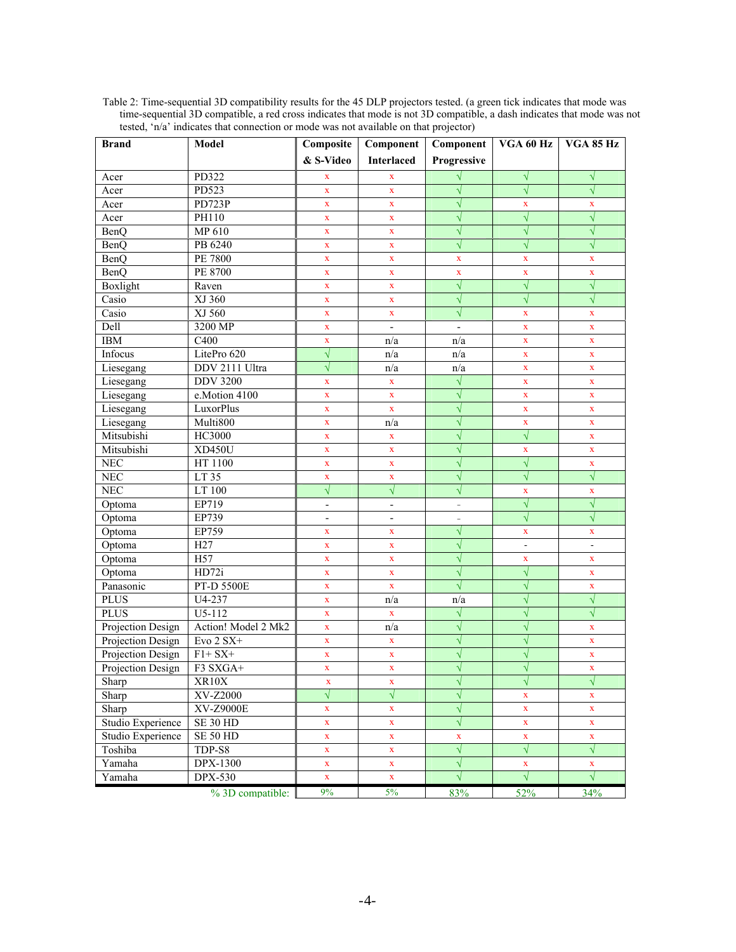| <b>Brand</b>      | Model               | Composite                | Component                | Component                | VGA 60 Hz      | VGA 85 Hz      |
|-------------------|---------------------|--------------------------|--------------------------|--------------------------|----------------|----------------|
|                   |                     | & S-Video                | <b>Interlaced</b>        | Progressive              |                |                |
| Acer              | PD322               | X                        | $\mathbf x$              |                          | $\sqrt{ }$     | $\sqrt{}$      |
| Acer              | PD523               | $\bar{\mathbf{X}}$       | $\mathbf x$              | $\sqrt{}$                | $\sqrt{}$      | $\sqrt{}$      |
| Acer              | PD723P              | X                        | $\mathbf X$              | $\sqrt{}$                | $\mathbf X$    | $\mathbf x$    |
| Acer              | PH110               | $\mathbf X$              | $\mathbf X$              | $\sqrt{}$                | $\sqrt{}$      | $\sqrt{}$      |
| BenQ              | MP 610              | $\mathbf X$              | $\mathbf X$              | $\sqrt{}$                | $\sqrt{}$      | $\sqrt{}$      |
| <b>BenQ</b>       | PB 6240             | $\mathbf X$              | $\mathbf X$              | $\sqrt{}$                | $\sqrt{}$      | $\sqrt{}$      |
| BenQ              | <b>PE 7800</b>      | $\mathbf X$              | $\mathbf X$              | $\mathbf x$              | $\mathbf X$    | X              |
| BenQ              | PE 8700             | $\mathbf x$              | $\mathbf X$              | $\mathbf x$              | $\mathbf X$    | $\mathbf X$    |
| Boxlight          | Raven               | $\mathbf X$              | $\mathbf X$              | $\sqrt{}$                | $\sqrt{}$      | $\sqrt{}$      |
| Casio             | XJ 360              | $\bar{\mathbf{X}}$       | $\mathbf X$              | $\sqrt{}$                | $\sqrt{}$      | $\sqrt{}$      |
| Casio             | XJ 560              | $\mathbf X$              | $\mathbf X$              | $\sqrt{}$                | $\mathbf X$    | $\mathbf x$    |
| Dell              | 3200 MP             | $\mathbf X$              | $\overline{\phantom{a}}$ | $\frac{1}{2}$            | $\mathbf X$    | $\mathbf x$    |
| <b>IBM</b>        | C <sub>400</sub>    | $\mathbf X$              | n/a                      | n/a                      | $\mathbf X$    | $\mathbf x$    |
| Infocus           | LitePro 620         | $\sqrt{}$                | n/a                      | n/a                      | $\mathbf X$    | $\mathbf x$    |
| Liesegang         | DDV 2111 Ultra      | $\sqrt{}$                | n/a                      | n/a                      | $\mathbf X$    | $\mathbf X$    |
| Liesegang         | <b>DDV 3200</b>     | $\mathbf X$              | $\mathbf X$              | $\sqrt{}$                | $\mathbf X$    | $\mathbf X$    |
| Liesegang         | e.Motion 4100       | $\mathbf X$              | $\mathbf X$              | $\sqrt{}$                | $\mathbf X$    | $\mathbf X$    |
| Liesegang         | <b>LuxorPlus</b>    | $\mathbf X$              | $\mathbf X$              | $\sqrt{}$                | $\mathbf X$    | $\mathbf x$    |
| Liesegang         | Multi800            | $\mathbf X$              | n/a                      | $\sqrt{}$                | $\mathbf X$    | $\mathbf X$    |
| Mitsubishi        | <b>HC3000</b>       | $\mathbf X$              | $\mathbf x$              | $\sqrt{}$                | $\sqrt{}$      | $\mathbf x$    |
| Mitsubishi        | XD450U              | X                        | $\mathbf X$              | $\sqrt{}$                | $\mathbf X$    | $\mathbf x$    |
| NEC               | HT 1100             | $\mathbf x$              | $\mathbf X$              | $\sqrt{}$                | $\sqrt{}$      | X              |
| NEC               | LT 35               | $\mathbf X$              | $\mathbf X$              | $\sqrt{}$                | $\sqrt{}$      | $\sqrt{}$      |
| <b>NEC</b>        | LT 100              | $\sqrt{}$                | $\sqrt{}$                | $\sqrt{}$                | $\mathbf X$    | $\mathbf X$    |
| Optoma            | EP719               | $\overline{\phantom{a}}$ | $\blacksquare$           | $\overline{\phantom{a}}$ | $\sqrt{}$      | $\sqrt{}$      |
| Optoma            | EP739               | $\overline{\phantom{a}}$ | $\overline{\phantom{a}}$ | $\bar{a}$                | $\sqrt{}$      | $\sqrt{}$      |
| Optoma            | EP759               | $\mathbf x$              | $\mathbf X$              | $\sqrt{}$                | $\mathbf X$    | $\mathbf X$    |
| Optoma            | H27                 | $\mathbf X$              | $\mathbf x$              | $\sqrt{}$                | $\overline{a}$ | $\overline{a}$ |
| Optoma            | H <sub>57</sub>     | $\mathbf X$              | $\mathbf X$              | $\sqrt{}$                | $\mathbf X$    | $\mathbf X$    |
| Optoma            | HD72i               | $\mathbf X$              | $\mathbf x$              | $\sqrt{}$                | $\sqrt{}$      | $\mathbf x$    |
| Panasonic         | PT-D 5500E          | $\mathbf X$              | $\mathbf X$              | $\sqrt{}$                | $\sqrt{}$      | $\mathbf x$    |
| <b>PLUS</b>       | U4-237              | $\mathbf X$              | n/a                      | n/a                      | $\sqrt{}$      | $\sqrt{}$      |
| <b>PLUS</b>       | U5-112              | $\mathbf X$              | $\mathbf X$              | $\sqrt{}$                | $\sqrt{}$      | $\sqrt{}$      |
| Projection Design | Action! Model 2 Mk2 | $\mathbf x$              | n/a                      | $\sqrt{}$                | $\sqrt{}$      | $\mathbf x$    |
| Projection Design | Evo $2 SX+$         | $\mathbf X$              | $\mathbf x$              | $\sqrt{}$                | $\sqrt{}$      | $\mathbf x$    |
| Projection Design | $F1+SX+$            | $\mathbf X$              | $\mathbf X$              | $\sqrt{}$                | $\sqrt{}$      | $\mathbf x$    |
| Projection Design | F3 SXGA+            | $\mathbf X$              | $\mathbf X$              | $\sqrt{}$                | V              | $\mathbf X$    |
| Sharp             | XR10X               | $\mathbf X$              | $\mathbf X$              | $\sqrt{}$                | $\sqrt{}$      | $\sqrt{}$      |
| Sharp             | <b>XV-Z2000</b>     | $\sqrt{}$                | $\sqrt{}$                | $\sqrt{}$                | $\mathbf X$    | $\mathbf X$    |
| Sharp             | XV-Z9000E           | $\bar{\mathbf{X}}$       | $\bar{\mathbf{X}}$       | $\sqrt{}$                | $\mathbf X$    | $\mathbf{X}$   |
| Studio Experience | <b>SE 30 HD</b>     | $\mathbf X$              | $\mathbf X$              | $\sqrt{}$                | $\mathbf X$    | $\mathbf{X}$   |
| Studio Experience | <b>SE 50 HD</b>     | $\mathbf X$              | $\mathbf x$              | $\mathbf X$              | $\mathbf X$    | $\mathbf X$    |
| Toshiba           | TDP-S8              | $\mathbf X$              | $\mathbf X$              | $\sqrt{}$                | $\sqrt{}$      | $\sqrt{}$      |
| Yamaha            | <b>DPX-1300</b>     | $\mathbf X$              | $\mathbf X$              | $\sqrt{}$                | $\mathbf X$    | $\mathbf X$    |
| Yamaha            | <b>DPX-530</b>      | $\mathbf X$              | $\mathbf{X}^-$           | $\sqrt{}$                | $\sqrt{ }$     | $\sqrt{}$      |
|                   | % 3D compatible:    | 9%                       | $5\%$                    | 83%                      | 52%            | 34%            |

Table 2: Time-sequential 3D compatibility results for the 45 DLP projectors tested. (a green tick indicates that mode was time-sequential 3D compatible, a red cross indicates that mode is not 3D compatible, a dash indicates that mode was not tested, 'n/a' indicates that connection or mode was not available on that projector)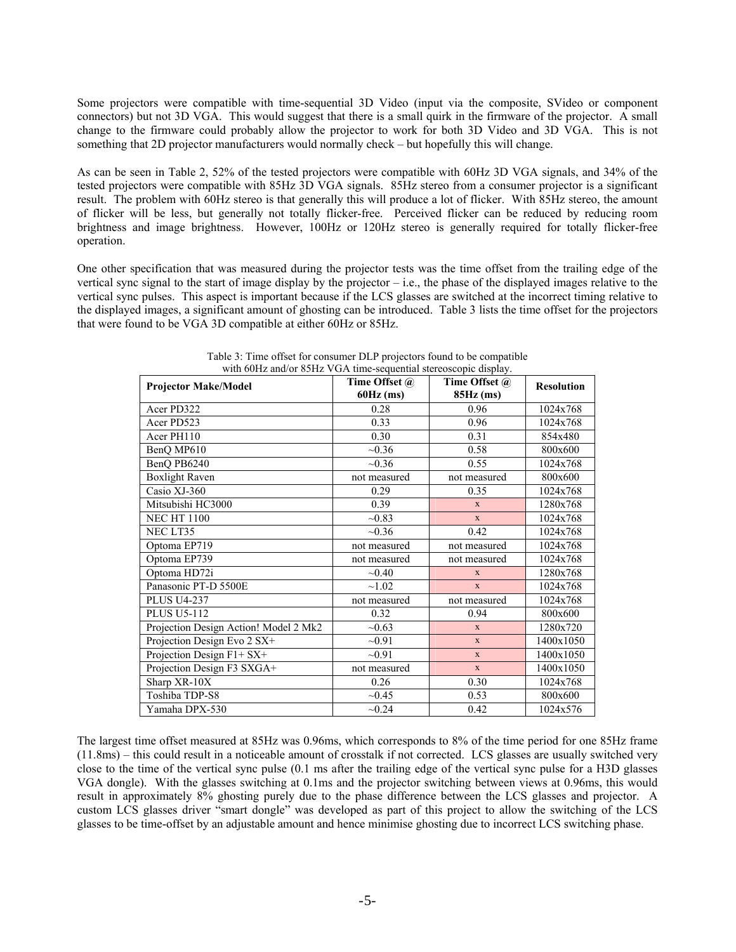Some projectors were compatible with time-sequential 3D Video (input via the composite, SVideo or component connectors) but not 3D VGA. This would suggest that there is a small quirk in the firmware of the projector. A small change to the firmware could probably allow the projector to work for both 3D Video and 3D VGA. This is not something that 2D projector manufacturers would normally check – but hopefully this will change.

As can be seen in Table 2, 52% of the tested projectors were compatible with 60Hz 3D VGA signals, and 34% of the tested projectors were compatible with 85Hz 3D VGA signals. 85Hz stereo from a consumer projector is a significant result. The problem with 60Hz stereo is that generally this will produce a lot of flicker. With 85Hz stereo, the amount of flicker will be less, but generally not totally flicker-free. Perceived flicker can be reduced by reducing room brightness and image brightness. However, 100Hz or 120Hz stereo is generally required for totally flicker-free operation.

One other specification that was measured during the projector tests was the time offset from the trailing edge of the vertical sync signal to the start of image display by the projector – i.e., the phase of the displayed images relative to the vertical sync pulses. This aspect is important because if the LCS glasses are switched at the incorrect timing relative to the displayed images, a significant amount of ghosting can be introduced. Table 3 lists the time offset for the projectors that were found to be VGA 3D compatible at either 60Hz or 85Hz.

| <b>Projector Make/Model</b>           | Time Offset @<br>$60Hz$ (ms) | Time Offset @<br>85Hz (ms) | <b>Resolution</b> |
|---------------------------------------|------------------------------|----------------------------|-------------------|
| Acer PD322                            | 0.28                         | 0.96                       | 1024x768          |
| Acer PD523                            | 0.33                         | 0.96                       | 1024x768          |
| Acer PH110                            | 0.30                         | 0.31                       | 854x480           |
| BenO MP610                            | ~10.36                       | 0.58                       | 800x600           |
| BenQ PB6240                           | $-0.36$                      | 0.55                       | 1024x768          |
| <b>Boxlight Raven</b>                 | not measured                 | not measured               | 800x600           |
| Casio XJ-360                          | 0.29                         | 0.35                       | 1024x768          |
| Mitsubishi HC3000                     | 0.39                         | $\mathbf{X}$               | 1280x768          |
| <b>NEC HT 1100</b>                    | $-0.83$                      | $\mathbf{X}$               | 1024x768          |
| NEC LT35                              | ~10.36                       | 0.42                       | 1024x768          |
| Optoma EP719                          | not measured                 | not measured               | 1024x768          |
| Optoma EP739                          | not measured                 | not measured               | 1024x768          |
| Optoma HD72i                          | $-0.40$                      | $\mathbf{X}$               | 1280x768          |
| Panasonic PT-D 5500E                  | ~1.02                        | $\mathbf{X}$               | 1024x768          |
| <b>PLUS U4-237</b>                    | not measured                 | not measured               | 1024x768          |
| <b>PLUS U5-112</b>                    | 0.32                         | 0.94                       | 800x600           |
| Projection Design Action! Model 2 Mk2 | $-0.63$                      | $\mathbf{x}$               | 1280x720          |
| Projection Design Evo 2 SX+           | $-0.91$                      | $\mathbf{x}$               | 1400x1050         |
| Projection Design F1+ SX+             | $-0.91$                      | X                          | 1400x1050         |
| Projection Design F3 SXGA+            | not measured                 | $\mathbf{X}$               | 1400x1050         |
| Sharp XR-10X                          | 0.26                         | 0.30                       | 1024x768          |
| Toshiba TDP-S8                        | ~10.45                       | 0.53                       | 800x600           |
| Yamaha DPX-530                        | $-0.24$                      | 0.42                       | 1024x576          |

Table 3: Time offset for consumer DLP projectors found to be compatible with 60Hz and/or 85Hz VGA time-sequential stereoscopic display.

The largest time offset measured at 85Hz was 0.96ms, which corresponds to 8% of the time period for one 85Hz frame (11.8ms) – this could result in a noticeable amount of crosstalk if not corrected. LCS glasses are usually switched very close to the time of the vertical sync pulse (0.1 ms after the trailing edge of the vertical sync pulse for a H3D glasses VGA dongle). With the glasses switching at 0.1ms and the projector switching between views at 0.96ms, this would result in approximately 8% ghosting purely due to the phase difference between the LCS glasses and projector. A custom LCS glasses driver "smart dongle" was developed as part of this project to allow the switching of the LCS glasses to be time-offset by an adjustable amount and hence minimise ghosting due to incorrect LCS switching phase.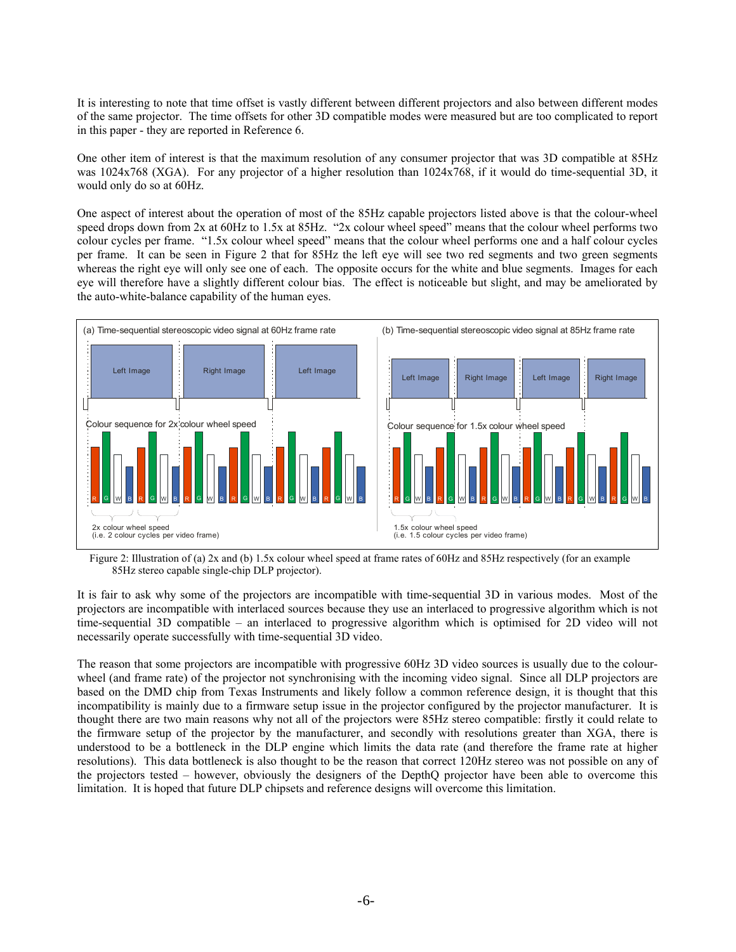It is interesting to note that time offset is vastly different between different projectors and also between different modes of the same projector. The time offsets for other 3D compatible modes were measured but are too complicated to report in this paper - they are reported in Reference 6.

One other item of interest is that the maximum resolution of any consumer projector that was 3D compatible at 85Hz was 1024x768 (XGA). For any projector of a higher resolution than 1024x768, if it would do time-sequential 3D, it would only do so at 60Hz.

One aspect of interest about the operation of most of the 85Hz capable projectors listed above is that the colour-wheel speed drops down from 2x at 60Hz to 1.5x at 85Hz. "2x colour wheel speed" means that the colour wheel performs two colour cycles per frame. "1.5x colour wheel speed" means that the colour wheel performs one and a half colour cycles per frame. It can be seen in Figure 2 that for 85Hz the left eye will see two red segments and two green segments whereas the right eye will only see one of each. The opposite occurs for the white and blue segments. Images for each eye will therefore have a slightly different colour bias. The effect is noticeable but slight, and may be ameliorated by the auto-white-balance capability of the human eyes.



Figure 2: Illustration of (a) 2x and (b) 1.5x colour wheel speed at frame rates of 60Hz and 85Hz respectively (for an example 85Hz stereo capable single-chip DLP projector).

It is fair to ask why some of the projectors are incompatible with time-sequential 3D in various modes. Most of the projectors are incompatible with interlaced sources because they use an interlaced to progressive algorithm which is not time-sequential 3D compatible – an interlaced to progressive algorithm which is optimised for 2D video will not necessarily operate successfully with time-sequential 3D video.

The reason that some projectors are incompatible with progressive 60Hz 3D video sources is usually due to the colourwheel (and frame rate) of the projector not synchronising with the incoming video signal. Since all DLP projectors are based on the DMD chip from Texas Instruments and likely follow a common reference design, it is thought that this incompatibility is mainly due to a firmware setup issue in the projector configured by the projector manufacturer. It is thought there are two main reasons why not all of the projectors were 85Hz stereo compatible: firstly it could relate to the firmware setup of the projector by the manufacturer, and secondly with resolutions greater than XGA, there is understood to be a bottleneck in the DLP engine which limits the data rate (and therefore the frame rate at higher resolutions). This data bottleneck is also thought to be the reason that correct 120Hz stereo was not possible on any of the projectors tested – however, obviously the designers of the DepthQ projector have been able to overcome this limitation. It is hoped that future DLP chipsets and reference designs will overcome this limitation.